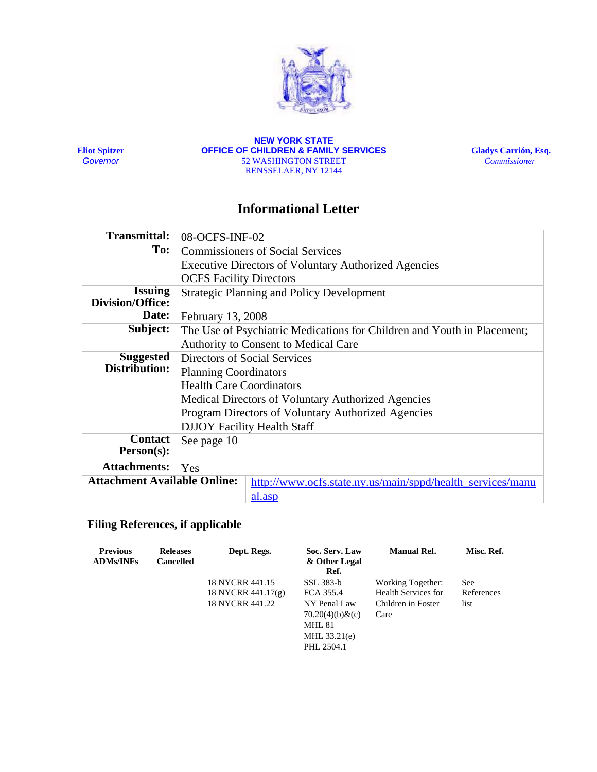

**Eliot Spitzer**  *Governor*

**NEW YORK STATE OFFICE OF CHILDREN & FAMILY SERVICES** 52 WASHINGTON STREET RENSSELAER, NY 12144

# **Informational Letter**

| <b>Transmittal:</b>                       | 08-OCFS-INF-02                                                          |                                                            |  |  |
|-------------------------------------------|-------------------------------------------------------------------------|------------------------------------------------------------|--|--|
| To:                                       | <b>Commissioners of Social Services</b>                                 |                                                            |  |  |
|                                           | <b>Executive Directors of Voluntary Authorized Agencies</b>             |                                                            |  |  |
|                                           | <b>OCFS</b> Facility Directors                                          |                                                            |  |  |
| <b>Issuing</b><br><b>Division/Office:</b> | <b>Strategic Planning and Policy Development</b>                        |                                                            |  |  |
| Date:                                     | February 13, 2008                                                       |                                                            |  |  |
| Subject:                                  | The Use of Psychiatric Medications for Children and Youth in Placement; |                                                            |  |  |
|                                           | Authority to Consent to Medical Care                                    |                                                            |  |  |
| <b>Suggested</b>                          | Directors of Social Services                                            |                                                            |  |  |
| Distribution:                             | <b>Planning Coordinators</b>                                            |                                                            |  |  |
|                                           | <b>Health Care Coordinators</b>                                         |                                                            |  |  |
|                                           | Medical Directors of Voluntary Authorized Agencies                      |                                                            |  |  |
|                                           | Program Directors of Voluntary Authorized Agencies                      |                                                            |  |  |
|                                           | <b>DJJOY Facility Health Staff</b>                                      |                                                            |  |  |
| <b>Contact</b>                            | See page 10                                                             |                                                            |  |  |
| <b>Person(s):</b>                         |                                                                         |                                                            |  |  |
| <b>Attachments:</b>                       | Yes                                                                     |                                                            |  |  |
| <b>Attachment Available Online:</b>       |                                                                         | http://www.ocfs.state.ny.us/main/sppd/health_services/manu |  |  |
|                                           |                                                                         | al.asp                                                     |  |  |

# **Filing References, if applicable**

| <b>Previous</b><br><b>ADMs/INFs</b> | <b>Releases</b><br><b>Cancelled</b> | Dept. Regs.                                              | Soc. Serv. Law<br>& Other Legal<br>Ref.                                                                     | <b>Manual Ref.</b>                                                     | Misc. Ref.                |
|-------------------------------------|-------------------------------------|----------------------------------------------------------|-------------------------------------------------------------------------------------------------------------|------------------------------------------------------------------------|---------------------------|
|                                     |                                     | 18 NYCRR 441.15<br>18 NYCRR 441.17(g)<br>18 NYCRR 441.22 | SSL 383-b<br>FCA 355.4<br>NY Penal Law<br>$70.20(4)(b)$ &(c)<br><b>MHL 81</b><br>MHL 33.21(e)<br>PHL 2504.1 | Working Together:<br>Health Services for<br>Children in Foster<br>Care | See<br>References<br>list |

 **Gladys Carrión, Esq.**  *Commissioner*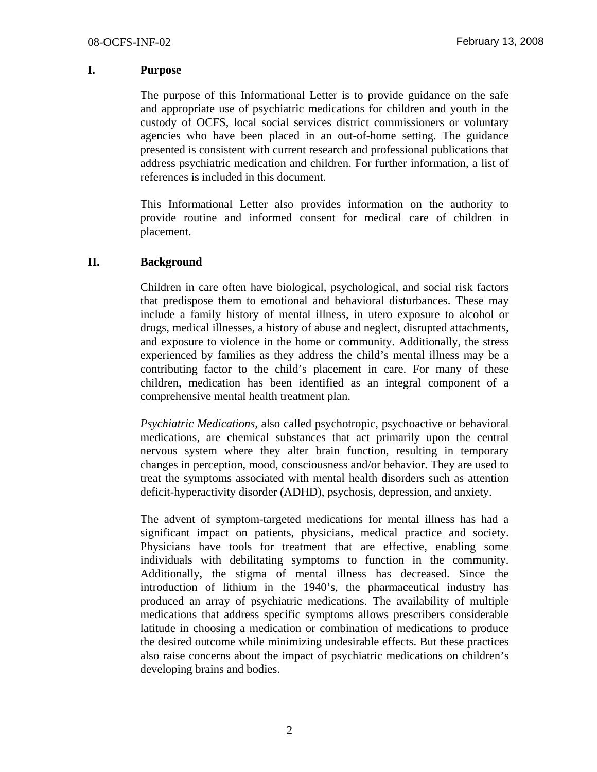# **I. Purpose**

The purpose of this Informational Letter is to provide guidance on the safe and appropriate use of psychiatric medications for children and youth in the custody of OCFS, local social services district commissioners or voluntary agencies who have been placed in an out-of-home setting. The guidance presented is consistent with current research and professional publications that address psychiatric medication and children. For further information, a list of references is included in this document.

This Informational Letter also provides information on the authority to provide routine and informed consent for medical care of children in placement.

# **II. Background**

Children in care often have biological, psychological, and social risk factors that predispose them to emotional and behavioral disturbances. These may include a family history of mental illness, in utero exposure to alcohol or drugs, medical illnesses, a history of abuse and neglect, disrupted attachments, and exposure to violence in the home or community. Additionally, the stress experienced by families as they address the child's mental illness may be a contributing factor to the child's placement in care. For many of these children, medication has been identified as an integral component of a comprehensive mental health treatment plan.

*Psychiatric Medications,* also called psychotropic, psychoactive or behavioral medications, are chemical substances that act primarily upon the central nervous system where they alter brain function, resulting in temporary changes in perception, mood, consciousness and/or behavior. They are used to treat the symptoms associated with mental health disorders such as attention deficit-hyperactivity disorder (ADHD), psychosis, depression, and anxiety.

The advent of symptom-targeted medications for mental illness has had a significant impact on patients, physicians, medical practice and society. Physicians have tools for treatment that are effective, enabling some individuals with debilitating symptoms to function in the community. Additionally, the stigma of mental illness has decreased. Since the introduction of lithium in the 1940's, the pharmaceutical industry has produced an array of psychiatric medications. The availability of multiple medications that address specific symptoms allows prescribers considerable latitude in choosing a medication or combination of medications to produce the desired outcome while minimizing undesirable effects. But these practices also raise concerns about the impact of psychiatric medications on children's developing brains and bodies.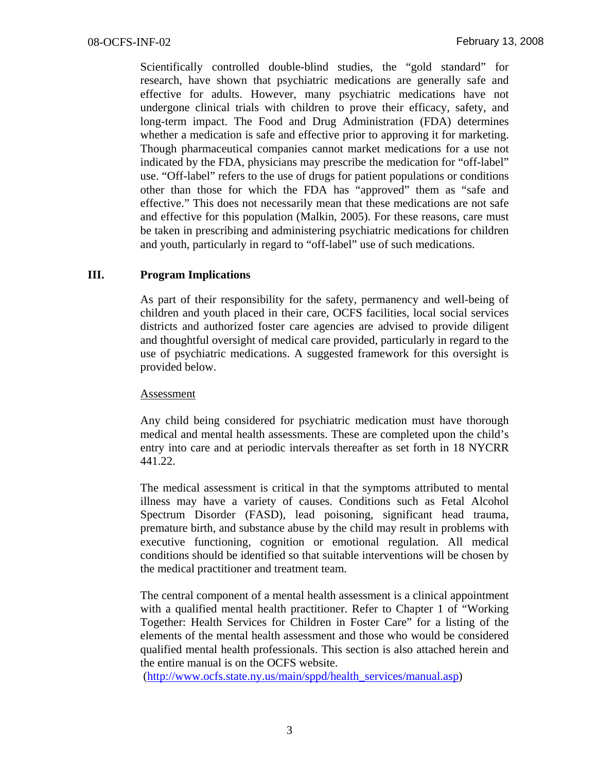Scientifically controlled double-blind studies, the "gold standard" for research, have shown that psychiatric medications are generally safe and effective for adults. However, many psychiatric medications have not undergone clinical trials with children to prove their efficacy, safety, and long-term impact. The Food and Drug Administration (FDA) determines whether a medication is safe and effective prior to approving it for marketing. Though pharmaceutical companies cannot market medications for a use not indicated by the FDA, physicians may prescribe the medication for "off-label" use. "Off-label" refers to the use of drugs for patient populations or conditions other than those for which the FDA has "approved" them as "safe and effective." This does not necessarily mean that these medications are not safe and effective for this population (Malkin, 2005). For these reasons, care must be taken in prescribing and administering psychiatric medications for children and youth, particularly in regard to "off-label" use of such medications.

# **III. Program Implications**

As part of their responsibility for the safety, permanency and well-being of children and youth placed in their care, OCFS facilities, local social services districts and authorized foster care agencies are advised to provide diligent and thoughtful oversight of medical care provided, particularly in regard to the use of psychiatric medications. A suggested framework for this oversight is provided below.

# **Assessment**

Any child being considered for psychiatric medication must have thorough medical and mental health assessments. These are completed upon the child's entry into care and at periodic intervals thereafter as set forth in 18 NYCRR 441.22.

The medical assessment is critical in that the symptoms attributed to mental illness may have a variety of causes. Conditions such as Fetal Alcohol Spectrum Disorder (FASD), lead poisoning, significant head trauma, premature birth, and substance abuse by the child may result in problems with executive functioning, cognition or emotional regulation. All medical conditions should be identified so that suitable interventions will be chosen by the medical practitioner and treatment team.

The central component of a mental health assessment is a clinical appointment with a qualified mental health practitioner. Refer to Chapter 1 of "Working Together: Health Services for Children in Foster Care" for a listing of the elements of the mental health assessment and those who would be considered qualified mental health professionals. This section is also attached herein and the entire manual is on the OCFS website.

([http://www.ocfs.state.ny.us/main/sppd/health\\_services/manual.asp\)](http://www.ocfs.state.ny.us/main/sppd/health_services/manual.asp)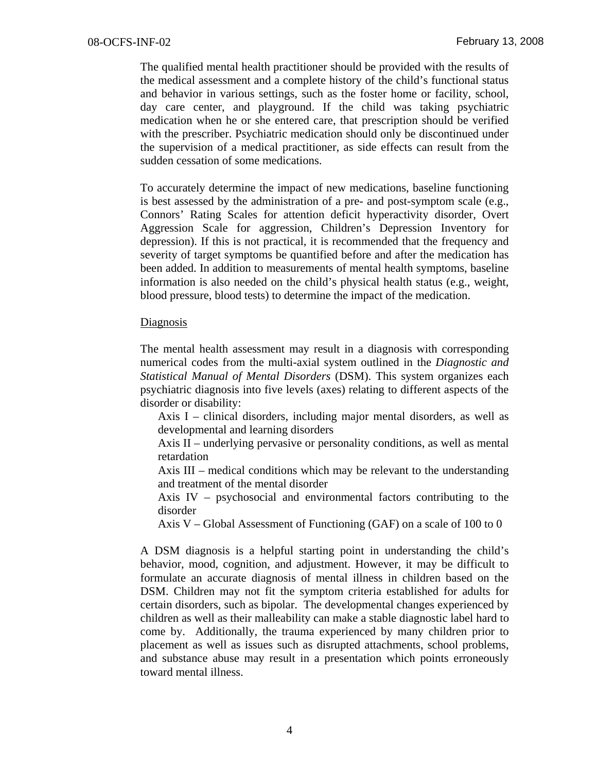The qualified mental health practitioner should be provided with the results of the medical assessment and a complete history of the child's functional status and behavior in various settings, such as the foster home or facility, school, day care center, and playground. If the child was taking psychiatric medication when he or she entered care, that prescription should be verified with the prescriber. Psychiatric medication should only be discontinued under the supervision of a medical practitioner, as side effects can result from the sudden cessation of some medications.

To accurately determine the impact of new medications, baseline functioning is best assessed by the administration of a pre- and post-symptom scale (e.g., Connors' Rating Scales for attention deficit hyperactivity disorder, Overt Aggression Scale for aggression, Children's Depression Inventory for depression). If this is not practical, it is recommended that the frequency and severity of target symptoms be quantified before and after the medication has been added. In addition to measurements of mental health symptoms, baseline information is also needed on the child's physical health status (e.g., weight, blood pressure, blood tests) to determine the impact of the medication.

#### Diagnosis

The mental health assessment may result in a diagnosis with corresponding numerical codes from the multi-axial system outlined in the *Diagnostic and Statistical Manual of Mental Disorders* (DSM). This system organizes each psychiatric diagnosis into five levels (axes) relating to different aspects of the disorder or disability:

Axis I – clinical disorders, including major mental disorders, as well as developmental and learning disorders

Axis II – underlying pervasive or personality conditions, as well as mental retardation

Axis III – medical conditions which may be relevant to the understanding and treatment of the mental disorder

Axis IV – psychosocial and environmental factors contributing to the disorder

Axis V – Global Assessment of Functioning (GAF) on a scale of 100 to 0

A DSM diagnosis is a helpful starting point in understanding the child's behavior, mood, cognition, and adjustment. However, it may be difficult to formulate an accurate diagnosis of mental illness in children based on the DSM. Children may not fit the symptom criteria established for adults for certain disorders, such as bipolar. The developmental changes experienced by children as well as their malleability can make a stable diagnostic label hard to come by. Additionally, the trauma experienced by many children prior to placement as well as issues such as disrupted attachments, school problems, and substance abuse may result in a presentation which points erroneously toward mental illness.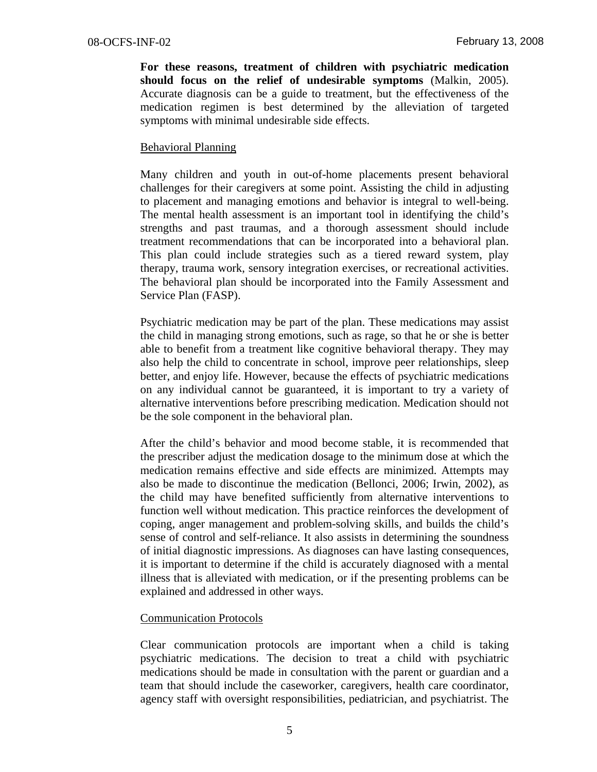**For these reasons, treatment of children with psychiatric medication should focus on the relief of undesirable symptoms** (Malkin, 2005). Accurate diagnosis can be a guide to treatment, but the effectiveness of the medication regimen is best determined by the alleviation of targeted symptoms with minimal undesirable side effects.

#### Behavioral Planning

Many children and youth in out-of-home placements present behavioral challenges for their caregivers at some point. Assisting the child in adjusting to placement and managing emotions and behavior is integral to well-being. The mental health assessment is an important tool in identifying the child's strengths and past traumas, and a thorough assessment should include treatment recommendations that can be incorporated into a behavioral plan. This plan could include strategies such as a tiered reward system, play therapy, trauma work, sensory integration exercises, or recreational activities. The behavioral plan should be incorporated into the Family Assessment and Service Plan (FASP).

Psychiatric medication may be part of the plan. These medications may assist the child in managing strong emotions, such as rage, so that he or she is better able to benefit from a treatment like cognitive behavioral therapy. They may also help the child to concentrate in school, improve peer relationships, sleep better, and enjoy life. However, because the effects of psychiatric medications on any individual cannot be guaranteed, it is important to try a variety of alternative interventions before prescribing medication. Medication should not be the sole component in the behavioral plan.

After the child's behavior and mood become stable, it is recommended that the prescriber adjust the medication dosage to the minimum dose at which the medication remains effective and side effects are minimized. Attempts may also be made to discontinue the medication (Bellonci, 2006; Irwin, 2002), as the child may have benefited sufficiently from alternative interventions to function well without medication. This practice reinforces the development of coping, anger management and problem-solving skills, and builds the child's sense of control and self-reliance. It also assists in determining the soundness of initial diagnostic impressions. As diagnoses can have lasting consequences, it is important to determine if the child is accurately diagnosed with a mental illness that is alleviated with medication, or if the presenting problems can be explained and addressed in other ways.

#### Communication Protocols

Clear communication protocols are important when a child is taking psychiatric medications. The decision to treat a child with psychiatric medications should be made in consultation with the parent or guardian and a team that should include the caseworker, caregivers, health care coordinator, agency staff with oversight responsibilities, pediatrician, and psychiatrist. The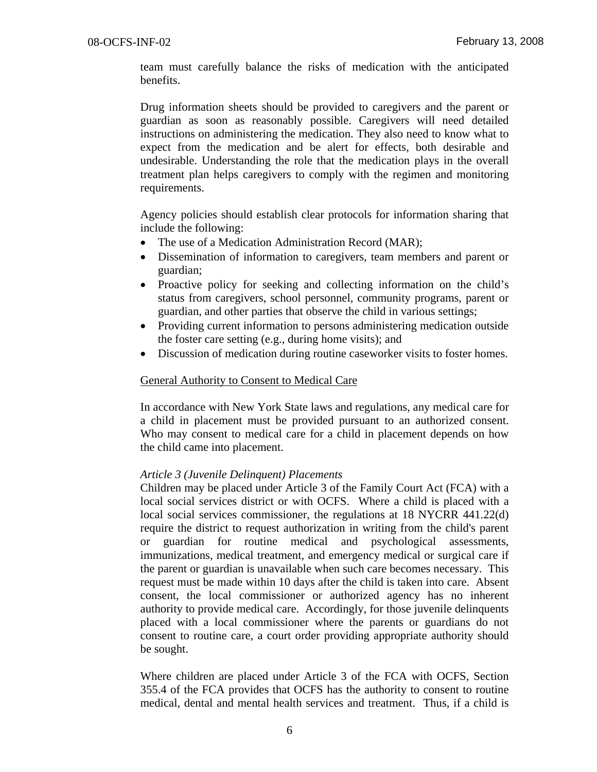team must carefully balance the risks of medication with the anticipated benefits.

Drug information sheets should be provided to caregivers and the parent or guardian as soon as reasonably possible. Caregivers will need detailed instructions on administering the medication. They also need to know what to expect from the medication and be alert for effects, both desirable and undesirable. Understanding the role that the medication plays in the overall treatment plan helps caregivers to comply with the regimen and monitoring requirements.

Agency policies should establish clear protocols for information sharing that include the following:

- The use of a Medication Administration Record (MAR);
- Dissemination of information to caregivers, team members and parent or guardian;
- Proactive policy for seeking and collecting information on the child's status from caregivers, school personnel, community programs, parent or guardian, and other parties that observe the child in various settings;
- Providing current information to persons administering medication outside the foster care setting (e.g., during home visits); and
- Discussion of medication during routine caseworker visits to foster homes.

## General Authority to Consent to Medical Care

In accordance with New York State laws and regulations, any medical care for a child in placement must be provided pursuant to an authorized consent. Who may consent to medical care for a child in placement depends on how the child came into placement.

# *Article 3 (Juvenile Delinquent) Placements*

Children may be placed under Article 3 of the Family Court Act (FCA) with a local social services district or with OCFS. Where a child is placed with a local social services commissioner, the regulations at 18 NYCRR 441.22(d) require the district to request authorization in writing from the child's parent or guardian for routine medical and psychological assessments, immunizations, medical treatment, and emergency medical or surgical care if the parent or guardian is unavailable when such care becomes necessary. This request must be made within 10 days after the child is taken into care. Absent consent, the local commissioner or authorized agency has no inherent authority to provide medical care. Accordingly, for those juvenile delinquents placed with a local commissioner where the parents or guardians do not consent to routine care, a court order providing appropriate authority should be sought.

Where children are placed under Article 3 of the FCA with OCFS, Section 355.4 of the FCA provides that OCFS has the authority to consent to routine medical, dental and mental health services and treatment. Thus, if a child is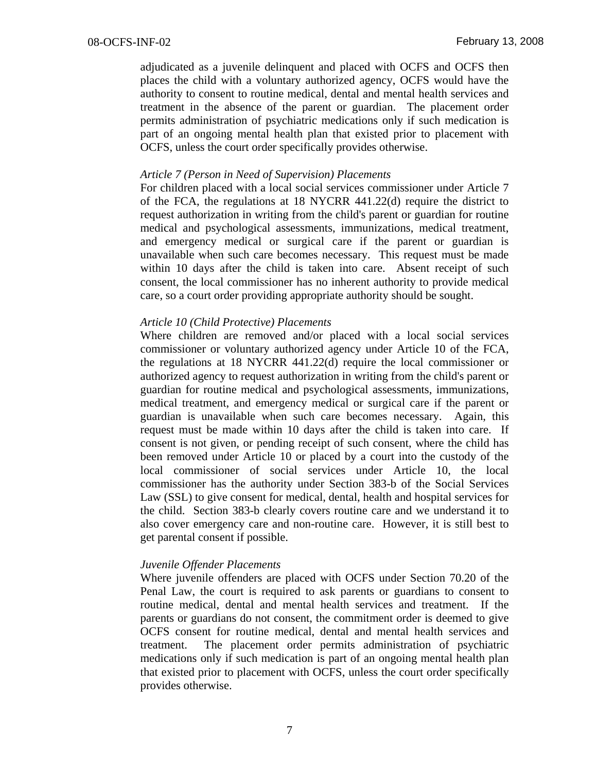adjudicated as a juvenile delinquent and placed with OCFS and OCFS then places the child with a voluntary authorized agency, OCFS would have the authority to consent to routine medical, dental and mental health services and treatment in the absence of the parent or guardian. The placement order permits administration of psychiatric medications only if such medication is part of an ongoing mental health plan that existed prior to placement with OCFS, unless the court order specifically provides otherwise.

#### *Article 7 (Person in Need of Supervision) Placements*

For children placed with a local social services commissioner under Article 7 of the FCA, the regulations at 18 NYCRR 441.22(d) require the district to request authorization in writing from the child's parent or guardian for routine medical and psychological assessments, immunizations, medical treatment, and emergency medical or surgical care if the parent or guardian is unavailable when such care becomes necessary. This request must be made within 10 days after the child is taken into care. Absent receipt of such consent, the local commissioner has no inherent authority to provide medical care, so a court order providing appropriate authority should be sought.

# *Article 10 (Child Protective) Placements*

Where children are removed and/or placed with a local social services commissioner or voluntary authorized agency under Article 10 of the FCA, the regulations at 18 NYCRR 441.22(d) require the local commissioner or authorized agency to request authorization in writing from the child's parent or guardian for routine medical and psychological assessments, immunizations, medical treatment, and emergency medical or surgical care if the parent or guardian is unavailable when such care becomes necessary. Again, this request must be made within 10 days after the child is taken into care. If consent is not given, or pending receipt of such consent, where the child has been removed under Article 10 or placed by a court into the custody of the local commissioner of social services under Article 10, the local commissioner has the authority under Section 383-b of the Social Services Law (SSL) to give consent for medical, dental, health and hospital services for the child. Section 383-b clearly covers routine care and we understand it to also cover emergency care and non-routine care. However, it is still best to get parental consent if possible.

#### *Juvenile Offender Placements*

Where juvenile offenders are placed with OCFS under Section 70.20 of the Penal Law, the court is required to ask parents or guardians to consent to routine medical, dental and mental health services and treatment. If the parents or guardians do not consent, the commitment order is deemed to give OCFS consent for routine medical, dental and mental health services and treatment. The placement order permits administration of psychiatric medications only if such medication is part of an ongoing mental health plan that existed prior to placement with OCFS, unless the court order specifically provides otherwise.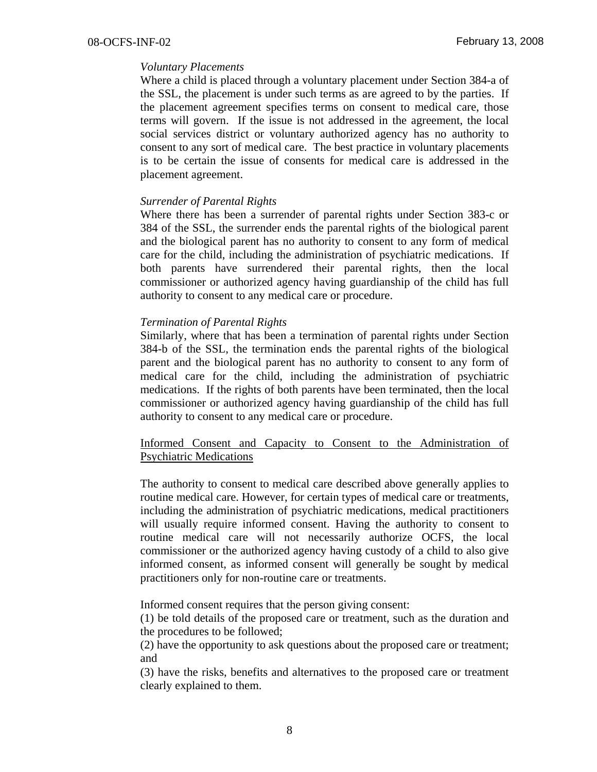### *Voluntary Placements*

Where a child is placed through a voluntary placement under Section 384-a of the SSL, the placement is under such terms as are agreed to by the parties. If the placement agreement specifies terms on consent to medical care, those terms will govern. If the issue is not addressed in the agreement, the local social services district or voluntary authorized agency has no authority to consent to any sort of medical care. The best practice in voluntary placements is to be certain the issue of consents for medical care is addressed in the placement agreement.

#### *Surrender of Parental Rights*

Where there has been a surrender of parental rights under Section 383-c or 384 of the SSL, the surrender ends the parental rights of the biological parent and the biological parent has no authority to consent to any form of medical care for the child, including the administration of psychiatric medications. If both parents have surrendered their parental rights, then the local commissioner or authorized agency having guardianship of the child has full authority to consent to any medical care or procedure.

# *Termination of Parental Rights*

Similarly, where that has been a termination of parental rights under Section 384-b of the SSL, the termination ends the parental rights of the biological parent and the biological parent has no authority to consent to any form of medical care for the child, including the administration of psychiatric medications. If the rights of both parents have been terminated, then the local commissioner or authorized agency having guardianship of the child has full authority to consent to any medical care or procedure.

# Informed Consent and Capacity to Consent to the Administration of Psychiatric Medications

The authority to consent to medical care described above generally applies to routine medical care. However, for certain types of medical care or treatments, including the administration of psychiatric medications, medical practitioners will usually require informed consent. Having the authority to consent to routine medical care will not necessarily authorize OCFS, the local commissioner or the authorized agency having custody of a child to also give informed consent, as informed consent will generally be sought by medical practitioners only for non-routine care or treatments.

Informed consent requires that the person giving consent:

(1) be told details of the proposed care or treatment, such as the duration and the procedures to be followed;

(2) have the opportunity to ask questions about the proposed care or treatment; and

(3) have the risks, benefits and alternatives to the proposed care or treatment clearly explained to them.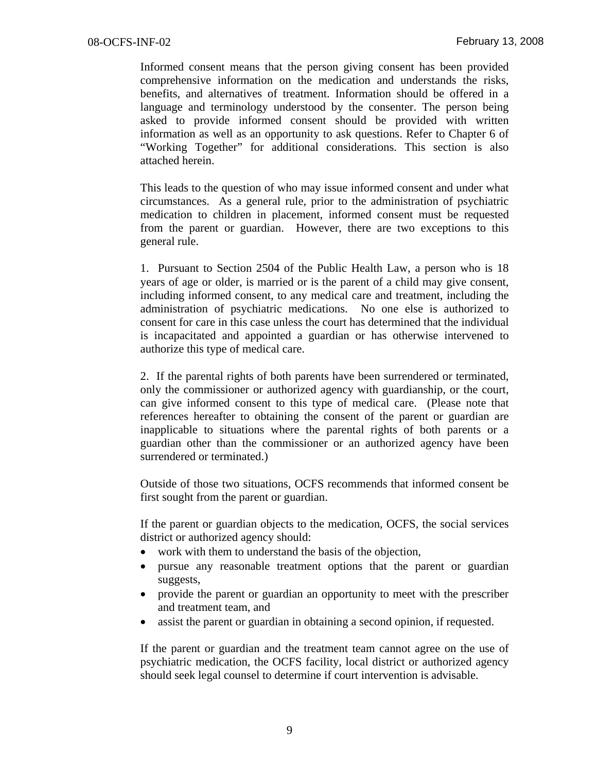Informed consent means that the person giving consent has been provided comprehensive information on the medication and understands the risks, benefits, and alternatives of treatment. Information should be offered in a language and terminology understood by the consenter. The person being asked to provide informed consent should be provided with written information as well as an opportunity to ask questions. Refer to Chapter 6 of "Working Together" for additional considerations. This section is also attached herein.

This leads to the question of who may issue informed consent and under what circumstances. As a general rule, prior to the administration of psychiatric medication to children in placement, informed consent must be requested from the parent or guardian. However, there are two exceptions to this general rule.

1. Pursuant to Section 2504 of the Public Health Law, a person who is 18 years of age or older, is married or is the parent of a child may give consent, including informed consent, to any medical care and treatment, including the administration of psychiatric medications. No one else is authorized to consent for care in this case unless the court has determined that the individual is incapacitated and appointed a guardian or has otherwise intervened to authorize this type of medical care.

2. If the parental rights of both parents have been surrendered or terminated, only the commissioner or authorized agency with guardianship, or the court, can give informed consent to this type of medical care. (Please note that references hereafter to obtaining the consent of the parent or guardian are inapplicable to situations where the parental rights of both parents or a guardian other than the commissioner or an authorized agency have been surrendered or terminated.)

Outside of those two situations, OCFS recommends that informed consent be first sought from the parent or guardian.

If the parent or guardian objects to the medication, OCFS, the social services district or authorized agency should:

- work with them to understand the basis of the objection,
- pursue any reasonable treatment options that the parent or guardian suggests,
- provide the parent or guardian an opportunity to meet with the prescriber and treatment team, and
- assist the parent or guardian in obtaining a second opinion, if requested.

If the parent or guardian and the treatment team cannot agree on the use of psychiatric medication, the OCFS facility, local district or authorized agency should seek legal counsel to determine if court intervention is advisable.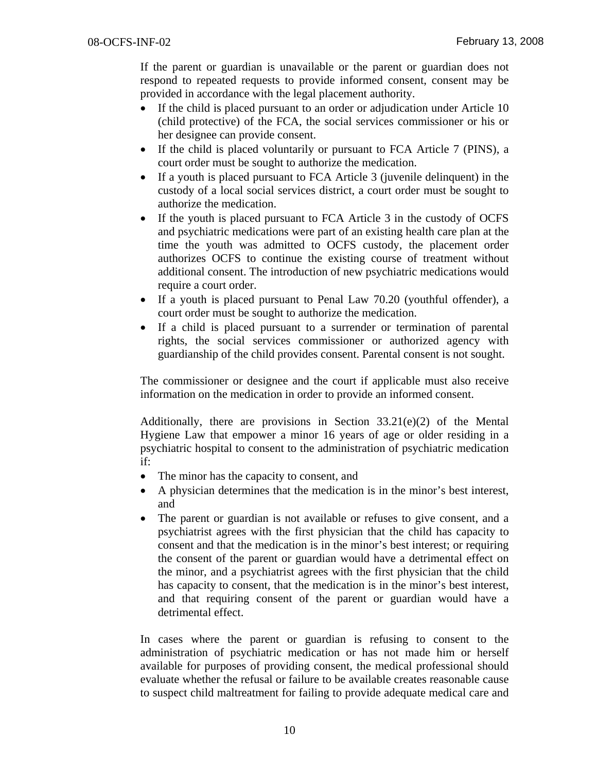If the parent or guardian is unavailable or the parent or guardian does not respond to repeated requests to provide informed consent, consent may be provided in accordance with the legal placement authority.

- If the child is placed pursuant to an order or adjudication under Article 10 (child protective) of the FCA, the social services commissioner or his or her designee can provide consent.
- If the child is placed voluntarily or pursuant to FCA Article 7 (PINS), a court order must be sought to authorize the medication.
- If a youth is placed pursuant to FCA Article 3 (juvenile delinquent) in the custody of a local social services district, a court order must be sought to authorize the medication.
- If the youth is placed pursuant to FCA Article 3 in the custody of OCFS and psychiatric medications were part of an existing health care plan at the time the youth was admitted to OCFS custody, the placement order authorizes OCFS to continue the existing course of treatment without additional consent. The introduction of new psychiatric medications would require a court order.
- If a youth is placed pursuant to Penal Law 70.20 (youthful offender), a court order must be sought to authorize the medication.
- If a child is placed pursuant to a surrender or termination of parental rights, the social services commissioner or authorized agency with guardianship of the child provides consent. Parental consent is not sought.

The commissioner or designee and the court if applicable must also receive information on the medication in order to provide an informed consent.

Additionally, there are provisions in Section  $33.21(e)(2)$  of the Mental Hygiene Law that empower a minor 16 years of age or older residing in a psychiatric hospital to consent to the administration of psychiatric medication if:

- The minor has the capacity to consent, and
- A physician determines that the medication is in the minor's best interest, and
- The parent or guardian is not available or refuses to give consent, and a psychiatrist agrees with the first physician that the child has capacity to consent and that the medication is in the minor's best interest; or requiring the consent of the parent or guardian would have a detrimental effect on the minor, and a psychiatrist agrees with the first physician that the child has capacity to consent, that the medication is in the minor's best interest, and that requiring consent of the parent or guardian would have a detrimental effect.

In cases where the parent or guardian is refusing to consent to the administration of psychiatric medication or has not made him or herself available for purposes of providing consent, the medical professional should evaluate whether the refusal or failure to be available creates reasonable cause to suspect child maltreatment for failing to provide adequate medical care and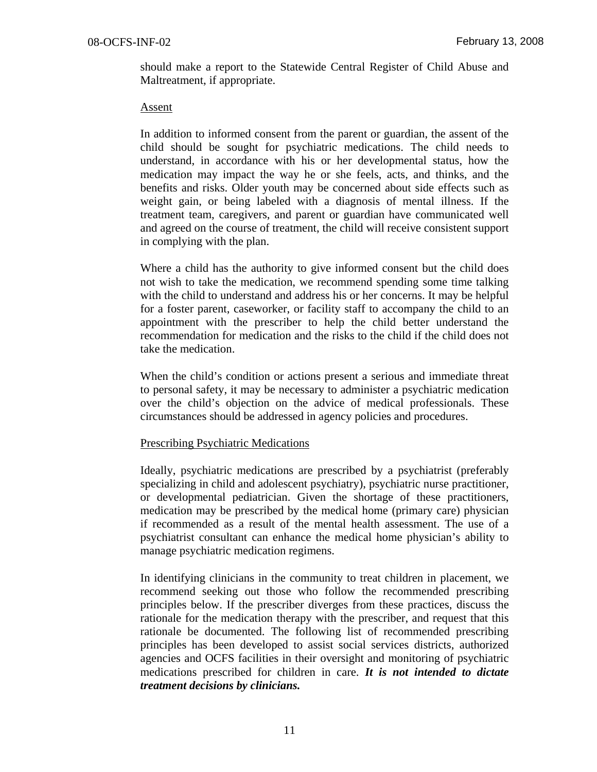should make a report to the Statewide Central Register of Child Abuse and Maltreatment, if appropriate.

#### Assent

In addition to informed consent from the parent or guardian, the assent of the child should be sought for psychiatric medications. The child needs to understand, in accordance with his or her developmental status, how the medication may impact the way he or she feels, acts, and thinks, and the benefits and risks. Older youth may be concerned about side effects such as weight gain, or being labeled with a diagnosis of mental illness. If the treatment team, caregivers, and parent or guardian have communicated well and agreed on the course of treatment, the child will receive consistent support in complying with the plan.

Where a child has the authority to give informed consent but the child does not wish to take the medication, we recommend spending some time talking with the child to understand and address his or her concerns. It may be helpful for a foster parent, caseworker, or facility staff to accompany the child to an appointment with the prescriber to help the child better understand the recommendation for medication and the risks to the child if the child does not take the medication.

When the child's condition or actions present a serious and immediate threat to personal safety, it may be necessary to administer a psychiatric medication over the child's objection on the advice of medical professionals. These circumstances should be addressed in agency policies and procedures.

# Prescribing Psychiatric Medications

Ideally, psychiatric medications are prescribed by a psychiatrist (preferably specializing in child and adolescent psychiatry), psychiatric nurse practitioner, or developmental pediatrician. Given the shortage of these practitioners, medication may be prescribed by the medical home (primary care) physician if recommended as a result of the mental health assessment. The use of a psychiatrist consultant can enhance the medical home physician's ability to manage psychiatric medication regimens.

In identifying clinicians in the community to treat children in placement, we recommend seeking out those who follow the recommended prescribing principles below. If the prescriber diverges from these practices, discuss the rationale for the medication therapy with the prescriber, and request that this rationale be documented. The following list of recommended prescribing principles has been developed to assist social services districts, authorized agencies and OCFS facilities in their oversight and monitoring of psychiatric medications prescribed for children in care. *It is not intended to dictate treatment decisions by clinicians.*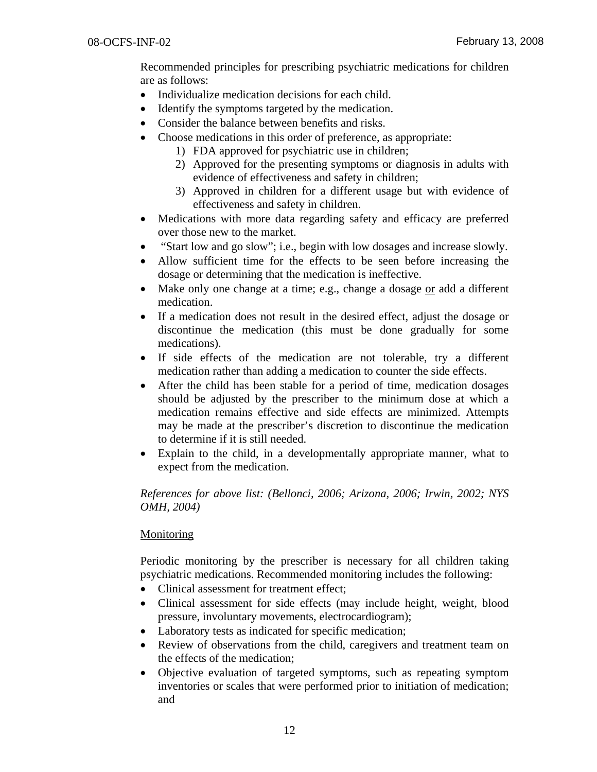Recommended principles for prescribing psychiatric medications for children are as follows:

- Individualize medication decisions for each child.
- Identify the symptoms targeted by the medication.
- Consider the balance between benefits and risks.
- Choose medications in this order of preference, as appropriate:
	- 1) FDA approved for psychiatric use in children;
	- 2) Approved for the presenting symptoms or diagnosis in adults with evidence of effectiveness and safety in children;
	- 3) Approved in children for a different usage but with evidence of effectiveness and safety in children.
- Medications with more data regarding safety and efficacy are preferred over those new to the market.
- "Start low and go slow"; i.e., begin with low dosages and increase slowly.
- Allow sufficient time for the effects to be seen before increasing the dosage or determining that the medication is ineffective.
- Make only one change at a time; e.g., change a dosage or add a different medication.
- If a medication does not result in the desired effect, adjust the dosage or discontinue the medication (this must be done gradually for some medications).
- If side effects of the medication are not tolerable, try a different medication rather than adding a medication to counter the side effects.
- After the child has been stable for a period of time, medication dosages should be adjusted by the prescriber to the minimum dose at which a medication remains effective and side effects are minimized. Attempts may be made at the prescriber's discretion to discontinue the medication to determine if it is still needed.
- Explain to the child, in a developmentally appropriate manner, what to expect from the medication.

*References for above list: (Bellonci, 2006; Arizona, 2006; Irwin, 2002; NYS OMH, 2004)* 

# Monitoring

Periodic monitoring by the prescriber is necessary for all children taking psychiatric medications. Recommended monitoring includes the following:

- Clinical assessment for treatment effect;
- Clinical assessment for side effects (may include height, weight, blood pressure, involuntary movements, electrocardiogram);
- Laboratory tests as indicated for specific medication;
- Review of observations from the child, caregivers and treatment team on the effects of the medication;
- Objective evaluation of targeted symptoms, such as repeating symptom inventories or scales that were performed prior to initiation of medication; and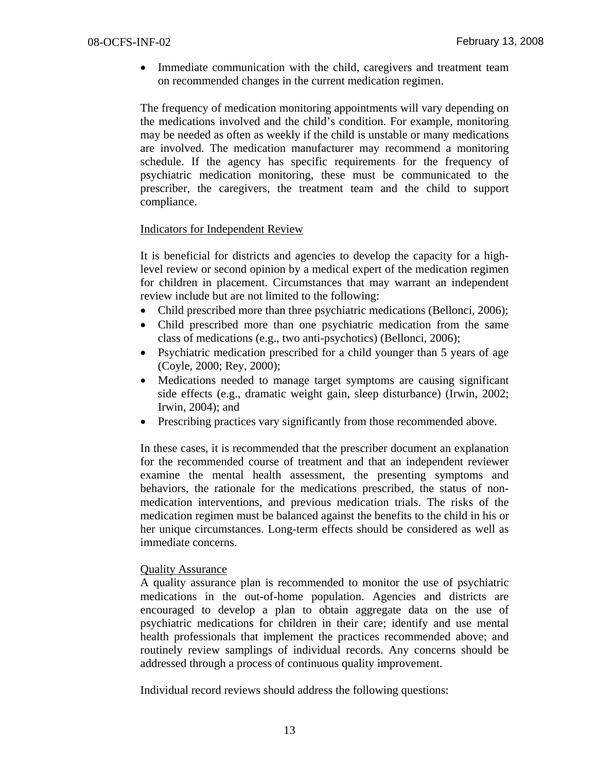• Immediate communication with the child, caregivers and treatment team on recommended changes in the current medication regimen.

The frequency of medication monitoring appointments will vary depending on the medications involved and the child's condition. For example, monitoring may be needed as often as weekly if the child is unstable or many medications are involved. The medication manufacturer may recommend a monitoring schedule. If the agency has specific requirements for the frequency of psychiatric medication monitoring, these must be communicated to the prescriber, the caregivers, the treatment team and the child to support compliance.

#### Indicators for Independent Review

It is beneficial for districts and agencies to develop the capacity for a highlevel review or second opinion by a medical expert of the medication regimen for children in placement. Circumstances that may warrant an independent review include but are not limited to the following:

- Child prescribed more than three psychiatric medications (Bellonci, 2006);
- Child prescribed more than one psychiatric medication from the same class of medications (e.g., two anti-psychotics) (Bellonci, 2006);
- Psychiatric medication prescribed for a child younger than 5 years of age (Coyle, 2000; Rey, 2000);
- Medications needed to manage target symptoms are causing significant side effects (e.g., dramatic weight gain, sleep disturbance) (Irwin, 2002; Irwin, 2004); and
- Prescribing practices vary significantly from those recommended above.

In these cases, it is recommended that the prescriber document an explanation for the recommended course of treatment and that an independent reviewer examine the mental health assessment, the presenting symptoms and behaviors, the rationale for the medications prescribed, the status of nonmedication interventions, and previous medication trials. The risks of the medication regimen must be balanced against the benefits to the child in his or her unique circumstances. Long-term effects should be considered as well as immediate concerns.

#### Quality Assurance

A quality assurance plan is recommended to monitor the use of psychiatric medications in the out-of-home population. Agencies and districts are encouraged to develop a plan to obtain aggregate data on the use of psychiatric medications for children in their care; identify and use mental health professionals that implement the practices recommended above; and routinely review samplings of individual records. Any concerns should be addressed through a process of continuous quality improvement.

Individual record reviews should address the following questions: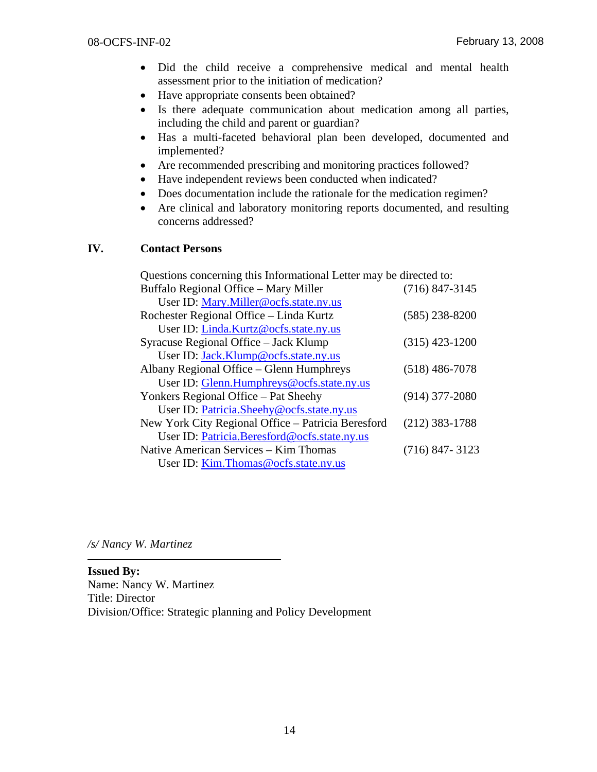- Did the child receive a comprehensive medical and mental health assessment prior to the initiation of medication?
- Have appropriate consents been obtained?
- Is there adequate communication about medication among all parties, including the child and parent or guardian?
- Has a multi-faceted behavioral plan been developed, documented and implemented?
- Are recommended prescribing and monitoring practices followed?
- Have independent reviews been conducted when indicated?
- Does documentation include the rationale for the medication regimen?
- Are clinical and laboratory monitoring reports documented, and resulting concerns addressed?

# **IV. Contact Persons**

| Questions concerning this Informational Letter may be directed to: |                  |  |  |  |
|--------------------------------------------------------------------|------------------|--|--|--|
| Buffalo Regional Office - Mary Miller                              | $(716)$ 847-3145 |  |  |  |
| User ID: Mary.Miller@ocfs.state.ny.us                              |                  |  |  |  |
| Rochester Regional Office - Linda Kurtz                            | $(585)$ 238-8200 |  |  |  |
| User ID: Linda.Kurtz@ocfs.state.ny.us                              |                  |  |  |  |
| Syracuse Regional Office – Jack Klump                              | $(315)$ 423-1200 |  |  |  |
| User ID: Jack.Klump@ocfs.state.ny.us                               |                  |  |  |  |
| Albany Regional Office – Glenn Humphreys                           | $(518)$ 486-7078 |  |  |  |
| User ID: Glenn.Humphreys@ocfs.state.ny.us                          |                  |  |  |  |
| Yonkers Regional Office – Pat Sheehy                               | $(914)$ 377-2080 |  |  |  |
| User ID: Patricia.Sheehy@ocfs.state.ny.us                          |                  |  |  |  |
| New York City Regional Office - Patricia Beresford                 | $(212)$ 383-1788 |  |  |  |
| User ID: Patricia.Beresford@ocfs.state.ny.us                       |                  |  |  |  |
| Native American Services – Kim Thomas                              | $(716)$ 847-3123 |  |  |  |
| User ID: Kim. Thomas @ ocfs.state.ny.us                            |                  |  |  |  |

*/s/ Nancy W. Martinez* 

**Issued By:**  Name: Nancy W. Martinez Title: Director Division/Office: Strategic planning and Policy Development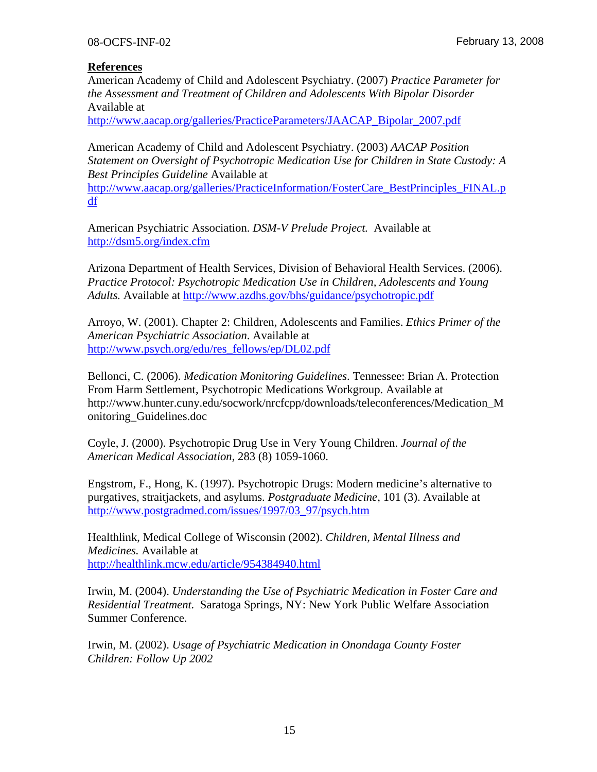# **References**

American Academy of Child and Adolescent Psychiatry. (2007) *Practice Parameter for the Assessment and Treatment of Children and Adolescents With Bipolar Disorder* Available at

[http://www.aacap.org/galleries/PracticeParameters/JAACAP\\_Bipolar\\_2007.pdf](http://www.aacap.org/galleries/PracticeParameters/JAACAP_Bipolar_2007.pdf)

American Academy of Child and Adolescent Psychiatry. (2003) *AACAP Position Statement on Oversight of Psychotropic Medication Use for Children in State Custody: A Best Principles Guideline* Available at [http://www.aacap.org/galleries/PracticeInformation/FosterCare\\_BestPrinciples\\_FINAL.p](http://www.aacap.org/galleries/PracticeInformation/FosterCare_BestPrinciples_FINAL.pdf) [df](http://www.aacap.org/galleries/PracticeInformation/FosterCare_BestPrinciples_FINAL.pdf)

American Psychiatric Association. *DSM-V Prelude Project.* Available at <http://dsm5.org/index.cfm>

Arizona Department of Health Services, Division of Behavioral Health Services. (2006). *Practice Protocol: Psychotropic Medication Use in Children, Adolescents and Young Adults.* Available at<http://www.azdhs.gov/bhs/guidance/psychotropic.pdf>

Arroyo, W. (2001). Chapter 2: Children, Adolescents and Families. *Ethics Primer of the American Psychiatric Association*. Available at [http://www.psych.org/edu/res\\_fellows/ep/DL02.pdf](http://www.psych.org/edu/res_fellows/ep/DL02.pdf)

Bellonci, C. (2006). *Medication Monitoring Guidelines*. Tennessee: Brian A. Protection From Harm Settlement, Psychotropic Medications Workgroup. Available at http://www.hunter.cuny.edu/socwork/nrcfcpp/downloads/teleconferences/Medication\_M onitoring\_Guidelines.doc

Coyle, J. (2000). Psychotropic Drug Use in Very Young Children. *Journal of the American Medical Association,* 283 (8) 1059-1060.

Engstrom, F., Hong, K. (1997). Psychotropic Drugs: Modern medicine's alternative to purgatives, straitjackets, and asylums. *Postgraduate Medicine*, 101 (3). Available at [http://www.postgradmed.com/issues/1997/03\\_97/psych.htm](http://www.postgradmed.com/issues/1997/03_97/psych.htm)

Healthlink, Medical College of Wisconsin (2002). *Children, Mental Illness and Medicines.* Available at <http://healthlink.mcw.edu/article/954384940.html>

Irwin, M. (2004). *Understanding the Use of Psychiatric Medication in Foster Care and Residential Treatment.* Saratoga Springs, NY: New York Public Welfare Association Summer Conference.

Irwin, M. (2002). *Usage of Psychiatric Medication in Onondaga County Foster Children: Follow Up 2002*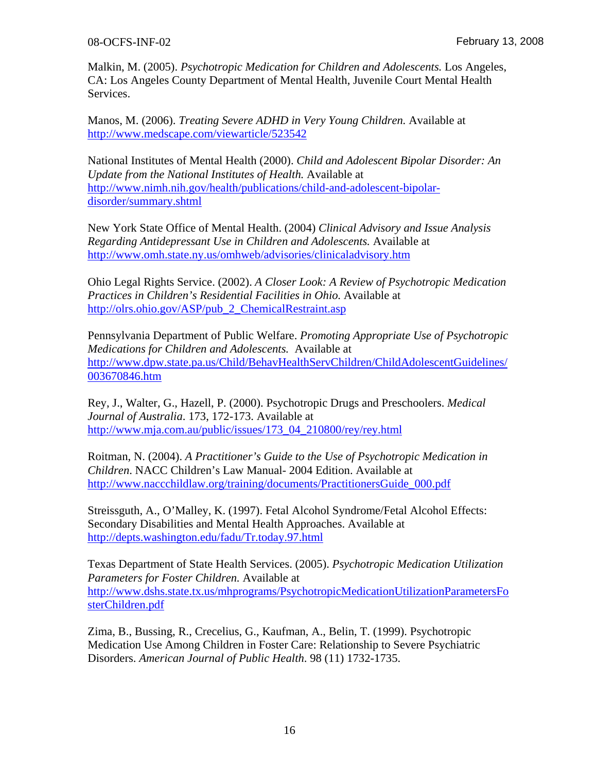Malkin, M. (2005). *Psychotropic Medication for Children and Adolescents.* Los Angeles, CA: Los Angeles County Department of Mental Health, Juvenile Court Mental Health Services.

Manos, M. (2006). *Treating Severe ADHD in Very Young Children.* Available at <http://www.medscape.com/viewarticle/523542>

National Institutes of Mental Health (2000). *Child and Adolescent Bipolar Disorder: An Update from the National Institutes of Health.* Available at [http://www.nimh.nih.gov/health/publications/child-and-adolescent-bipolar](http://www.nimh.nih.gov/health/publications/child-and-adolescent-bipolar-disorder/summary.shtml)[disorder/summary.shtml](http://www.nimh.nih.gov/health/publications/child-and-adolescent-bipolar-disorder/summary.shtml)

New York State Office of Mental Health. (2004) *Clinical Advisory and Issue Analysis Regarding Antidepressant Use in Children and Adolescents.* Available at <http://www.omh.state.ny.us/omhweb/advisories/clinicaladvisory.htm>

Ohio Legal Rights Service. (2002). *A Closer Look: A Review of Psychotropic Medication Practices in Children's Residential Facilities in Ohio.* Available at [http://olrs.ohio.gov/ASP/pub\\_2\\_ChemicalRestraint.asp](http://olrs.ohio.gov/ASP/pub_2_ChemicalRestraint.asp)

Pennsylvania Department of Public Welfare. *Promoting Appropriate Use of Psychotropic Medications for Children and Adolescents.* Available at [http://www.dpw.state.pa.us/Child/BehavHealthServChildren/ChildAdolescentGuidelines/](http://www.dpw.state.pa.us/Child/BehavHealthServChildren/ChildAdolescentGuidelines/003670846.htm) [003670846.htm](http://www.dpw.state.pa.us/Child/BehavHealthServChildren/ChildAdolescentGuidelines/003670846.htm)

Rey, J., Walter, G., Hazell, P. (2000). Psychotropic Drugs and Preschoolers. *Medical Journal of Australia*. 173, 172-173. Available at [http://www.mja.com.au/public/issues/173\\_04\\_210800/rey/rey.html](http://www.mja.com.au/public/issues/173_04_210800/rey/rey.html)

Roitman, N. (2004). *A Practitioner's Guide to the Use of Psychotropic Medication in Children*. NACC Children's Law Manual- 2004 Edition. Available at [http://www.naccchildlaw.org/training/documents/PractitionersGuide\\_000.pdf](http://www.naccchildlaw.org/training/documents/PractitionersGuide_000.pdf)

Streissguth, A., O'Malley, K. (1997). Fetal Alcohol Syndrome/Fetal Alcohol Effects: Secondary Disabilities and Mental Health Approaches. Available at <http://depts.washington.edu/fadu/Tr.today.97.html>

Texas Department of State Health Services. (2005). *Psychotropic Medication Utilization Parameters for Foster Children.* Available at [http://www.dshs.state.tx.us/mhprograms/PsychotropicMedicationUtilizationParametersFo](http://www.dshs.state.tx.us/mhprograms/PsychotropicMedicationUtilizationParametersFosterChildren.pdf) [sterChildren.pdf](http://www.dshs.state.tx.us/mhprograms/PsychotropicMedicationUtilizationParametersFosterChildren.pdf)

Zima, B., Bussing, R., Crecelius, G., Kaufman, A., Belin, T. (1999). Psychotropic Medication Use Among Children in Foster Care: Relationship to Severe Psychiatric Disorders. *American Journal of Public Health*. 98 (11) 1732-1735.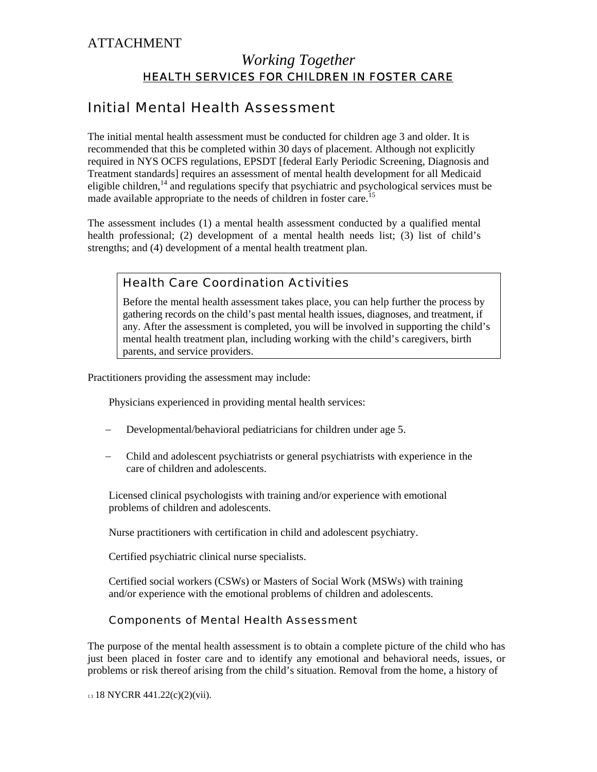# ATTACHMENT

# *Working Together*  HEALTH SERVICES FOR CHILDREN IN FOSTER CARE

# Initial Mental Health Assessment

The initial mental health assessment must be conducted for children age 3 and older. It is recommended that this be completed within 30 days of placement. Although not explicitly required in NYS OCFS regulations, EPSDT [federal Early Periodic Screening, Diagnosis and Treatment standards] requires an assessment of mental health development for all Medicaid eligible children, $14$  and regulations specify that psychiatric and psychological services must be made available appropriate to the needs of children in foster care.<sup>15</sup>

The assessment includes (1) a mental health assessment conducted by a qualified mental health professional; (2) development of a mental health needs list; (3) list of child's strengths; and (4) development of a mental health treatment plan.

# Health Care Coordination Activities

Before the mental health assessment takes place, you can help further the process by gathering records on the child's past mental health issues, diagnoses, and treatment, if any. After the assessment is completed, you will be involved in supporting the child's mental health treatment plan, including working with the child's caregivers, birth parents, and service providers.

Practitioners providing the assessment may include:

Physicians experienced in providing mental health services:

- Developmental/behavioral pediatricians for children under age 5.
- − Child and adolescent psychiatrists or general psychiatrists with experience in the care of children and adolescents.

 Licensed clinical psychologists with training and/or experience with emotional problems of children and adolescents.

Nurse practitioners with certification in child and adolescent psychiatry.

Certified psychiatric clinical nurse specialists.

 Certified social workers (CSWs) or Masters of Social Work (MSWs) with training and/or experience with the emotional problems of children and adolescents.

#### Components of Mental Health Assessment

The purpose of the mental health assessment is to obtain a complete picture of the child who has just been placed in foster care and to identify any emotional and behavioral needs, issues, or problems or risk thereof arising from the child's situation. Removal from the home, a history of

13 18 NYCRR 441.22(c)(2)(vii).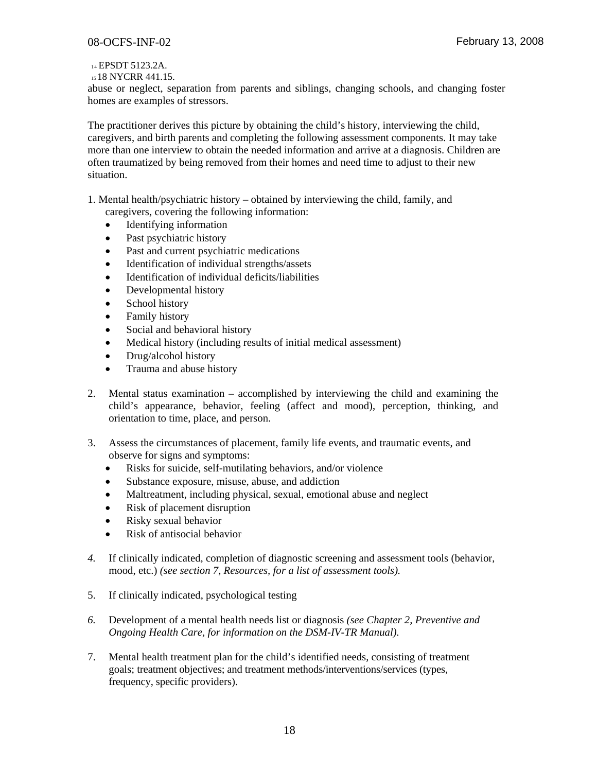14 EPSDT 5123.2A. 15 18 NYCRR 441.15.

abuse or neglect, separation from parents and siblings, changing schools, and changing foster homes are examples of stressors.

The practitioner derives this picture by obtaining the child's history, interviewing the child, caregivers, and birth parents and completing the following assessment components. It may take more than one interview to obtain the needed information and arrive at a diagnosis. Children are often traumatized by being removed from their homes and need time to adjust to their new situation.

1. Mental health/psychiatric history – obtained by interviewing the child, family, and caregivers, covering the following information:

- Identifying information
- Past psychiatric history
- Past and current psychiatric medications
- Identification of individual strengths/assets
- Identification of individual deficits/liabilities
- Developmental history
- School history
- Family history
- Social and behavioral history
- Medical history (including results of initial medical assessment)
- Drug/alcohol history
- Trauma and abuse history
- 2. Mental status examination accomplished by interviewing the child and examining the child's appearance, behavior, feeling (affect and mood), perception, thinking, and orientation to time, place, and person.
- 3. Assess the circumstances of placement, family life events, and traumatic events, and observe for signs and symptoms:
	- Risks for suicide, self-mutilating behaviors, and/or violence
	- Substance exposure, misuse, abuse, and addiction
	- Maltreatment, including physical, sexual, emotional abuse and neglect
	- Risk of placement disruption
	- Risky sexual behavior
	- Risk of antisocial behavior
- *4.* If clinically indicated, completion of diagnostic screening and assessment tools (behavior, mood, etc.) *(see section 7, Resources, for a list of assessment tools).*
- 5. If clinically indicated, psychological testing
- *6.* Development of a mental health needs list or diagnosis *(see Chapter 2, Preventive and Ongoing Health Care, for information on the DSM-IV-TR Manual).*
- 7. Mental health treatment plan for the child's identified needs, consisting of treatment goals; treatment objectives; and treatment methods/interventions/services (types, frequency, specific providers).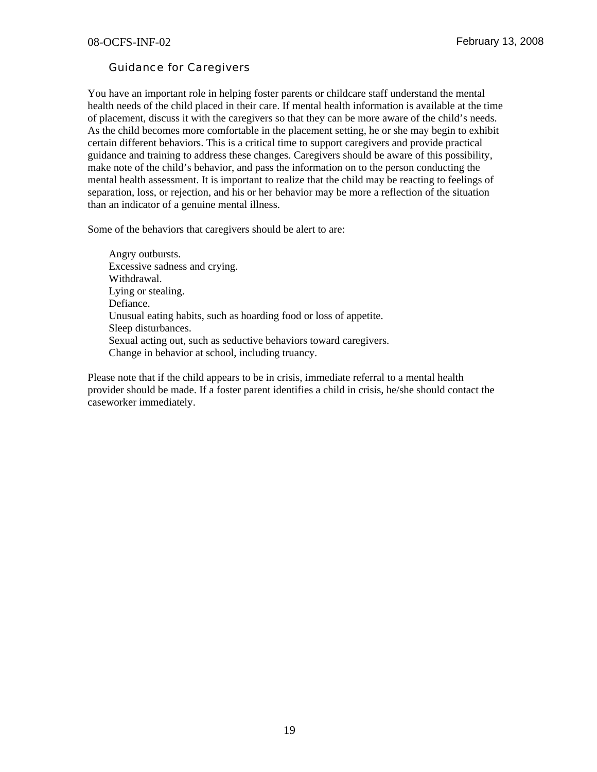# Guidance for Caregivers

You have an important role in helping foster parents or childcare staff understand the mental health needs of the child placed in their care. If mental health information is available at the time of placement, discuss it with the caregivers so that they can be more aware of the child's needs. As the child becomes more comfortable in the placement setting, he or she may begin to exhibit certain different behaviors. This is a critical time to support caregivers and provide practical guidance and training to address these changes. Caregivers should be aware of this possibility, make note of the child's behavior, and pass the information on to the person conducting the mental health assessment. It is important to realize that the child may be reacting to feelings of separation, loss, or rejection, and his or her behavior may be more a reflection of the situation than an indicator of a genuine mental illness.

Some of the behaviors that caregivers should be alert to are:

 Angry outbursts. Excessive sadness and crying. Withdrawal. Lying or stealing. Defiance. Unusual eating habits, such as hoarding food or loss of appetite. Sleep disturbances. Sexual acting out, such as seductive behaviors toward caregivers. Change in behavior at school, including truancy.

Please note that if the child appears to be in crisis, immediate referral to a mental health provider should be made. If a foster parent identifies a child in crisis, he/she should contact the caseworker immediately.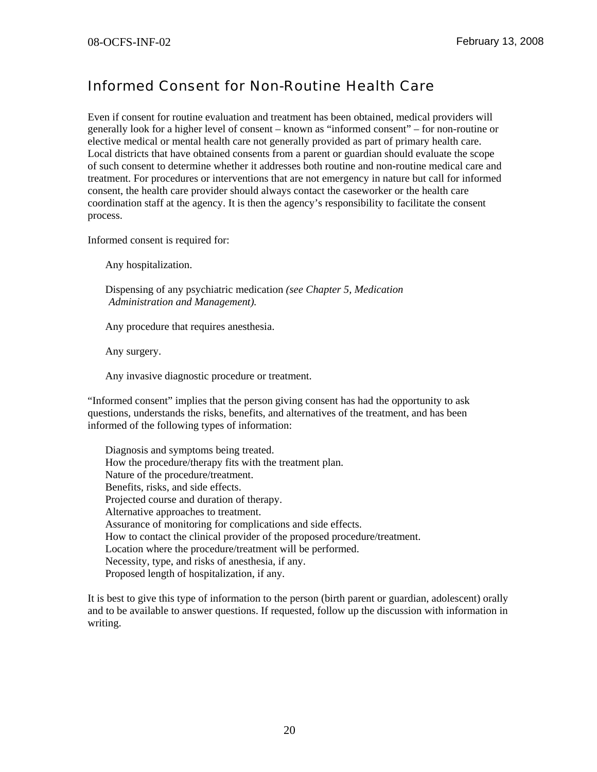# Informed Consent for Non-Routine Health Care

Even if consent for routine evaluation and treatment has been obtained, medical providers will generally look for a higher level of consent – known as "informed consent" – for non-routine or elective medical or mental health care not generally provided as part of primary health care. Local districts that have obtained consents from a parent or guardian should evaluate the scope of such consent to determine whether it addresses both routine and non-routine medical care and treatment. For procedures or interventions that are not emergency in nature but call for informed consent, the health care provider should always contact the caseworker or the health care coordination staff at the agency. It is then the agency's responsibility to facilitate the consent process.

Informed consent is required for:

Any hospitalization.

 Dispensing of any psychiatric medication *(see Chapter 5, Medication Administration and Management).* 

Any procedure that requires anesthesia.

Any surgery.

Any invasive diagnostic procedure or treatment.

"Informed consent" implies that the person giving consent has had the opportunity to ask questions, understands the risks, benefits, and alternatives of the treatment, and has been informed of the following types of information:

 Diagnosis and symptoms being treated. How the procedure/therapy fits with the treatment plan. Nature of the procedure/treatment. Benefits, risks, and side effects. Projected course and duration of therapy. Alternative approaches to treatment. Assurance of monitoring for complications and side effects. How to contact the clinical provider of the proposed procedure/treatment. Location where the procedure/treatment will be performed. Necessity, type, and risks of anesthesia, if any. Proposed length of hospitalization, if any.

It is best to give this type of information to the person (birth parent or guardian, adolescent) orally and to be available to answer questions. If requested, follow up the discussion with information in writing.